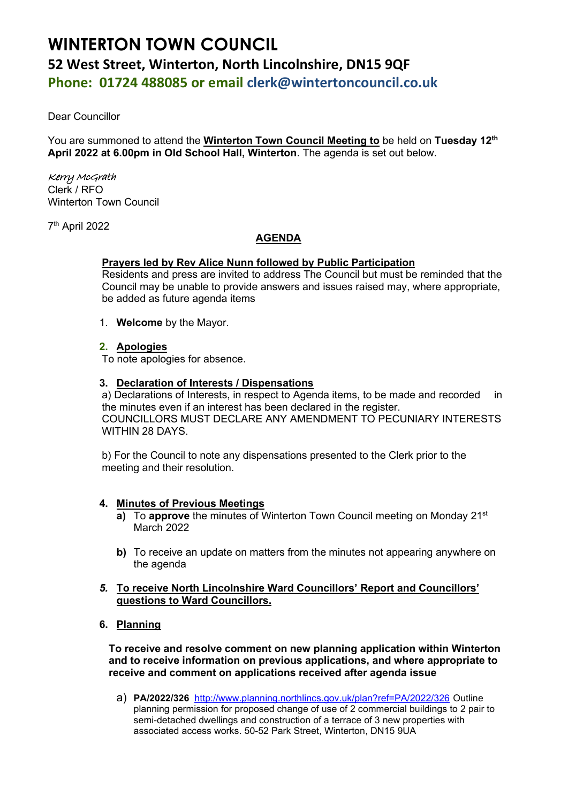# **WINTERTON TOWN COUNCIL 52 West Street, Winterton, North Lincolnshire, DN15 9QF Phone: 01724 488085 or email clerk@wintertoncouncil.co.uk**

Dear Councillor

You are summoned to attend the **Winterton Town Council Meeting to** be held on **Tuesday 12th April 2022 at 6.00pm in Old School Hall, Winterton**. The agenda is set out below.

# Kerry McGrath

Clerk / RFO Winterton Town Council

7 th April 2022

# **AGENDA**

# **Prayers led by Rev Alice Nunn followed by Public Participation**

Residents and press are invited to address The Council but must be reminded that the Council may be unable to provide answers and issues raised may, where appropriate, be added as future agenda items

1. **Welcome** by the Mayor.

# **2. Apologies**

To note apologies for absence.

#### **3. Declaration of Interests / Dispensations**

a) Declarations of Interests, in respect to Agenda items, to be made and recorded in the minutes even if an interest has been declared in the register. COUNCILLORS MUST DECLARE ANY AMENDMENT TO PECUNIARY INTERESTS WITHIN 28 DAYS.

b) For the Council to note any dispensations presented to the Clerk prior to the meeting and their resolution.

#### **4. Minutes of Previous Meetings**

- **a)** To **approve** the minutes of Winterton Town Council meeting on Mondav 21<sup>st</sup> March 2022
- **b**) To receive an update on matters from the minutes not appearing anywhere on the agenda
- *5.* **To receive North Lincolnshire Ward Councillors' Report and Councillors' questions to Ward Councillors.**
- **6. Planning**

**To receive and resolve comment on new planning application within Winterton and to receive information on previous applications, and where appropriate to receive and comment on applications received after agenda issue**

a) **PA/2022/326** <http://www.planning.northlincs.gov.uk/plan?ref=PA/2022/326> Outline planning permission for proposed change of use of 2 commercial buildings to 2 pair to semi-detached dwellings and construction of a terrace of 3 new properties with associated access works. 50-52 Park Street, Winterton, DN15 9UA